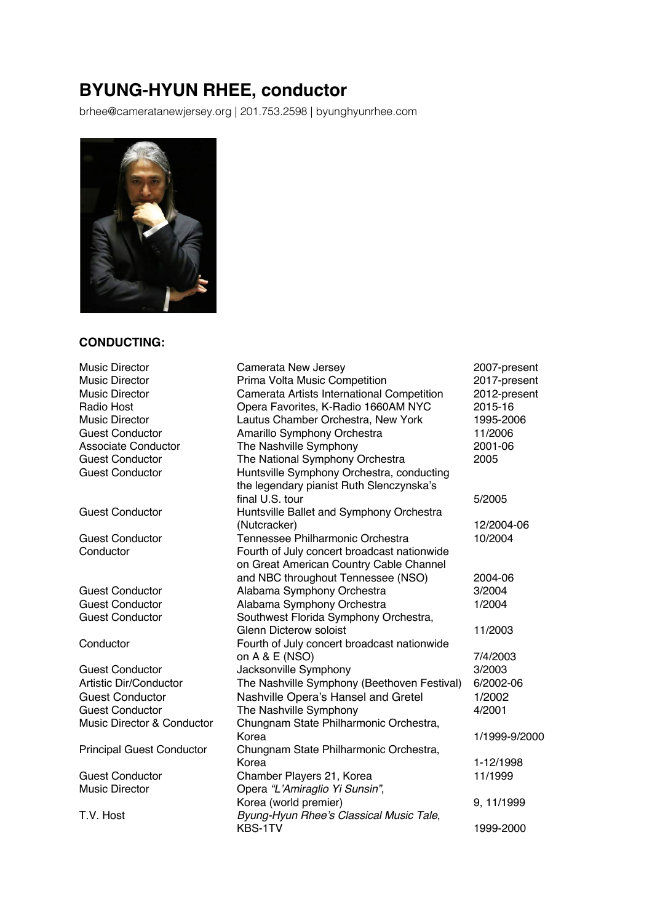# **BYUNG-HYUN RHEE, conductor**

brhee@cameratanewjersey.org | 201.753.2598 | byunghyunrhee.com



#### **CONDUCTING:**

Music Director Camerata New Jersey 2007-present Music Director **Prima Volta Music Competition** 2017-present Music Director Camerata Artists International Competition 2012-present Radio Host Opera Favorites, K-Radio 1660AM NYC 2015-16 Music Director Lautus Chamber Orchestra, New York 1995-2006 Guest Conductor Amarillo Symphony Orchestra 11/2006 Associate Conductor The Nashville Symphony 2001-06 Guest Conductor The National Symphony Orchestra 2005 Guest Conductor **Huntsville Symphony Orchestra, conducting** the legendary pianist Ruth Slenczynska's final U.S. tour 5/2005 Guest Conductor **Huntsville Ballet and Symphony Orchestra** (Nutcracker) 12/2004-06 Guest Conductor Tennessee Philharmonic Orchestra 10/2004 Conductor Fourth of July concert broadcast nationwide on Great American Country Cable Channel and NBC throughout Tennessee (NSO) 2004-06 Guest Conductor Alabama Symphony Orchestra 3/2004 Guest Conductor Alabama Symphony Orchestra 1/2004 Guest Conductor Southwest Florida Symphony Orchestra, Glenn Dicterow soloist 11/2003 Conductor Fourth of July concert broadcast nationwide on A & E (NSO) 7/4/2003 Guest Conductor **Conductor** Jacksonville Symphony **3/2003** Artistic Dir/Conductor The Nashville Symphony (Beethoven Festival) 6/2002-06 Guest Conductor Nashville Opera's Hansel and Gretel 1/2002 Guest Conductor The Nashville Symphony Cuest Conductor 4/2001 Music Director & Conductor Chungnam State Philharmonic Orchestra, Korea 1/1999-9/2000 Principal Guest Conductor Chungnam State Philharmonic Orchestra, Korea 1-12/1998 Guest Conductor Chamber Players 21, Korea 11/1999 Music Director Opera *"L'Amiraglio Yi Sunsin"*, Korea (world premier) 9, 11/1999 T.V. Host *Byung-Hyun Rhee's Classical Music Tale*, KBS-1TV 1999-2000